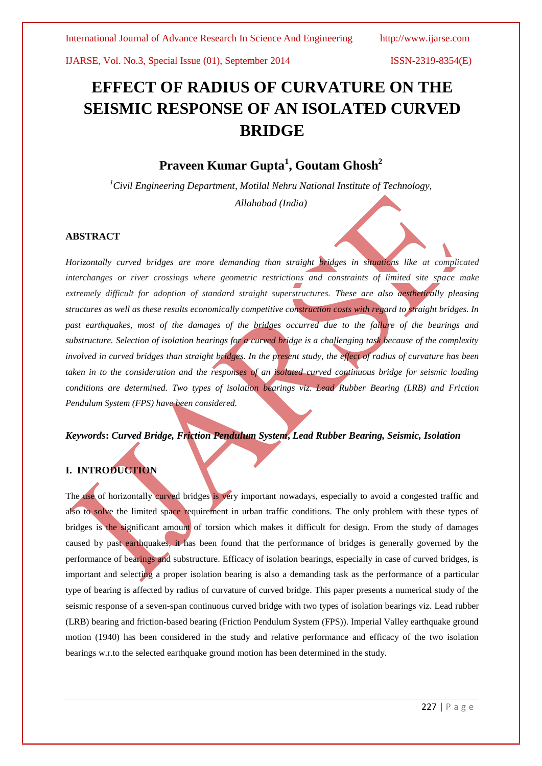# **EFFECT OF RADIUS OF CURVATURE ON THE SEISMIC RESPONSE OF AN ISOLATED CURVED BRIDGE**

# **Praveen Kumar Gupta<sup>1</sup> , Goutam Ghosh<sup>2</sup>**

*<sup>1</sup>Civil Engineering Department, Motilal Nehru National Institute of Technology, Allahabad (India)*

## **ABSTRACT**

*Horizontally curved bridges are more demanding than straight bridges in situations like at complicated interchanges or river crossings where geometric restrictions and constraints of limited site space make extremely difficult for adoption of standard straight superstructures. These are also aesthetically pleasing structures as well as these results economically competitive construction costs with regard to straight bridges. In past earthquakes, most of the damages of the bridges occurred due to the failure of the bearings and substructure. Selection of isolation bearings for a curved bridge is a challenging task because of the complexity involved in curved bridges than straight bridges. In the present study, the effect of radius of curvature has been taken in to the consideration and the responses of an isolated curved continuous bridge for seismic loading conditions are determined. Two types of isolation bearings viz. Lead Rubber Bearing (LRB) and Friction Pendulum System (FPS) have been considered.* 

*Keywords***:** *Curved Bridge, Friction Pendulum System***,** *Lead Rubber Bearing, Seismic, Isolation*

# **I. INTRODUCTION**

The use of horizontally curved bridges is very important nowadays, especially to avoid a congested traffic and also to solve the limited space requirement in urban traffic conditions. The only problem with these types of bridges is the significant amount of torsion which makes it difficult for design. From the study of damages caused by past earthquakes, it has been found that the performance of bridges is generally governed by the performance of bearings and substructure. Efficacy of isolation bearings, especially in case of curved bridges, is important and selecting a proper isolation bearing is also a demanding task as the performance of a particular type of bearing is affected by radius of curvature of curved bridge. This paper presents a numerical study of the seismic response of a seven-span continuous curved bridge with two types of isolation bearings viz. Lead rubber (LRB) bearing and friction-based bearing (Friction Pendulum System (FPS)). Imperial Valley earthquake ground motion (1940) has been considered in the study and relative performance and efficacy of the two isolation bearings w.r.to the selected earthquake ground motion has been determined in the study.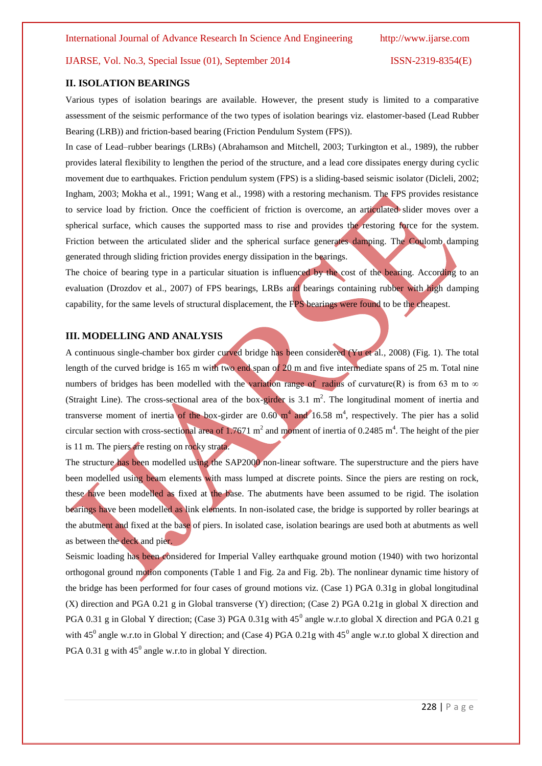#### **II. ISOLATION BEARINGS**

Various types of isolation bearings are available. However, the present study is limited to a comparative assessment of the seismic performance of the two types of isolation bearings viz. elastomer-based (Lead Rubber Bearing (LRB)) and friction-based bearing (Friction Pendulum System (FPS)).

In case of Lead–rubber bearings (LRBs) (Abrahamson and Mitchell, 2003; Turkington et al., 1989), the rubber provides lateral flexibility to lengthen the period of the structure, and a lead core dissipates energy during cyclic movement due to earthquakes. Friction pendulum system (FPS) is a sliding-based seismic isolator (Dicleli, 2002; Ingham, 2003; Mokha et al., 1991; Wang et al., 1998) with a restoring mechanism. The FPS provides resistance to service load by friction. Once the coefficient of friction is overcome, an articulated slider moves over a spherical surface, which causes the supported mass to rise and provides the restoring force for the system. Friction between the articulated slider and the spherical surface generates damping. The Coulomb damping generated through sliding friction provides energy dissipation in the bearings.

The choice of bearing type in a particular situation is influenced by the cost of the bearing. According to an evaluation (Drozdov et al., 2007) of FPS bearings, LRBs and bearings containing rubber with high damping capability, for the same levels of structural displacement, the FPS bearings were found to be the cheapest.

#### **III. MODELLING AND ANALYSIS**

A continuous single-chamber box girder curved bridge has been considered (Yu et al.*,* 2008) (Fig. 1). The total length of the curved bridge is 165 m with two end span of 20 m and five intermediate spans of 25 m. Total nine numbers of bridges has been modelled with the variation range of radius of curvature(R) is from 63 m to  $\infty$ (Straight Line). The cross-sectional area of the box-girder is  $3.1 \text{ m}^2$ . The longitudinal moment of inertia and transverse moment of inertia of the box-girder are  $0.60 \text{ m}^4$  and  $16.58 \text{ m}^4$ , respectively. The pier has a solid circular section with cross-sectional area of 1.7671  $m^2$  and moment of inertia of 0.2485  $m^4$ . The height of the pier is 11 m. The piers are resting on rocky strata.

The structure has been modelled using the SAP2000 non-linear software. The superstructure and the piers have been modelled using beam elements with mass lumped at discrete points. Since the piers are resting on rock, these have been modelled as fixed at the base. The abutments have been assumed to be rigid. The isolation bearings have been modelled as link elements. In non-isolated case, the bridge is supported by roller bearings at the abutment and fixed at the base of piers. In isolated case, isolation bearings are used both at abutments as well as between the deck and pier.

Seismic loading has been considered for Imperial Valley earthquake ground motion (1940) with two horizontal orthogonal ground motion components (Table 1 and Fig. 2a and Fig. 2b). The nonlinear dynamic time history of the bridge has been performed for four cases of ground motions viz. (Case 1) PGA 0.31g in global longitudinal (X) direction and PGA 0.21 g in Global transverse (Y) direction; (Case 2) PGA 0.21g in global X direction and PGA 0.31 g in Global Y direction; (Case 3) PGA 0.31g with  $45^{\circ}$  angle w.r.to global X direction and PGA 0.21 g with 45<sup>0</sup> angle w.r.to in Global Y direction; and (Case 4) PGA 0.21g with  $45^0$  angle w.r.to global X direction and PGA 0.31 g with  $45^{\circ}$  angle w.r.to in global Y direction.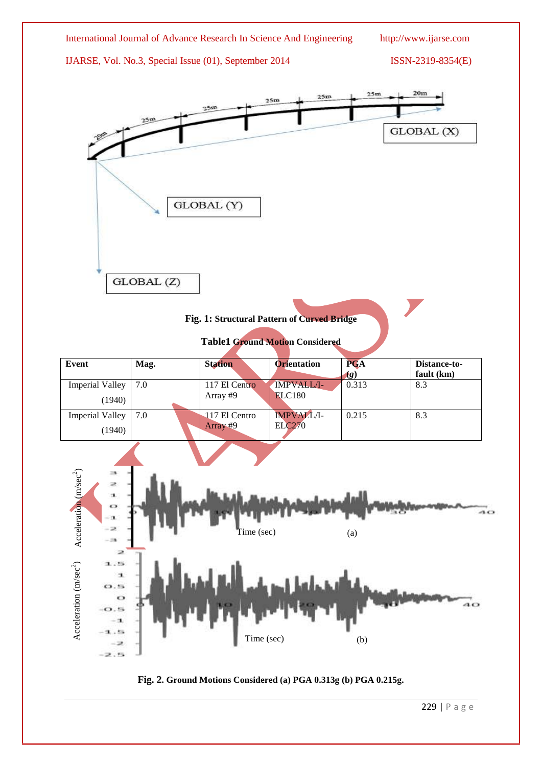

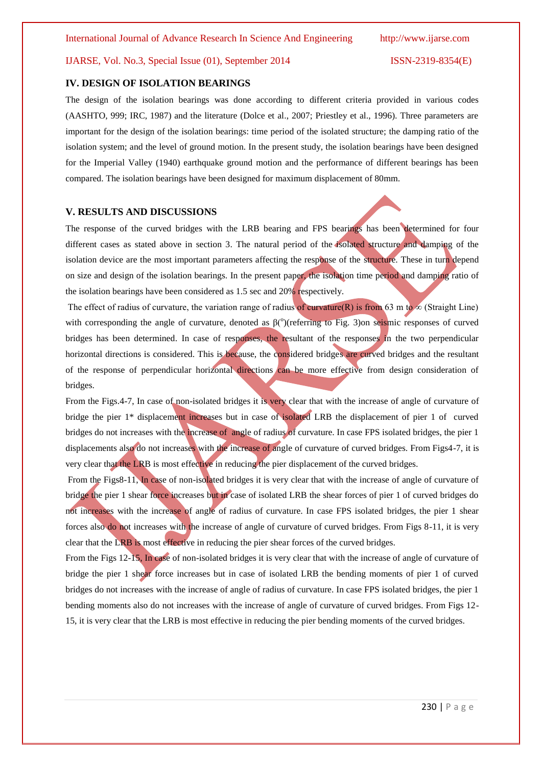#### **IV. DESIGN OF ISOLATION BEARINGS**

The design of the isolation bearings was done according to different criteria provided in various codes (AASHTO, 999; IRC, 1987) and the literature (Dolce et al., 2007; Priestley et al., 1996). Three parameters are important for the design of the isolation bearings: time period of the isolated structure; the damping ratio of the isolation system; and the level of ground motion. In the present study, the isolation bearings have been designed for the Imperial Valley (1940) earthquake ground motion and the performance of different bearings has been compared. The isolation bearings have been designed for maximum displacement of 80mm.

#### **V. RESULTS AND DISCUSSIONS**

The response of the curved bridges with the LRB bearing and FPS bearings has been determined for four different cases as stated above in section 3. The natural period of the isolated structure and damping of the isolation device are the most important parameters affecting the response of the structure. These in turn depend on size and design of the isolation bearings. In the present paper, the isolation time period and damping ratio of the isolation bearings have been considered as 1.5 sec and 20% respectively.

The effect of radius of curvature, the variation range of radius of curvature(R) is from 63 m to  $\infty$  (Straight Line) with corresponding the angle of curvature, denoted as  $\beta$ <sup>(o</sup>)(referring to Fig. 3)on seismic responses of curved bridges has been determined. In case of responses, the resultant of the responses in the two perpendicular horizontal directions is considered. This is because, the considered bridges are curved bridges and the resultant of the response of perpendicular horizontal directions can be more effective from design consideration of bridges.

From the Figs.4-7, In case of non-isolated bridges it is very clear that with the increase of angle of curvature of bridge the pier 1\* displacement increases but in case of isolated LRB the displacement of pier 1 of curved bridges do not increases with the increase of angle of radius of curvature. In case FPS isolated bridges, the pier 1 displacements also do not increases with the increase of angle of curvature of curved bridges. From Figs4-7, it is very clear that the LRB is most effective in reducing the pier displacement of the curved bridges.

From the Figs8-11, In case of non-isolated bridges it is very clear that with the increase of angle of curvature of bridge the pier 1 shear force increases but in case of isolated LRB the shear forces of pier 1 of curved bridges do not increases with the increase of angle of radius of curvature. In case FPS isolated bridges, the pier 1 shear forces also do not increases with the increase of angle of curvature of curved bridges. From Figs 8-11, it is very clear that the LRB is most effective in reducing the pier shear forces of the curved bridges.

From the Figs 12-15, In case of non-isolated bridges it is very clear that with the increase of angle of curvature of bridge the pier 1 shear force increases but in case of isolated LRB the bending moments of pier 1 of curved bridges do not increases with the increase of angle of radius of curvature. In case FPS isolated bridges, the pier 1 bending moments also do not increases with the increase of angle of curvature of curved bridges. From Figs 12- 15, it is very clear that the LRB is most effective in reducing the pier bending moments of the curved bridges.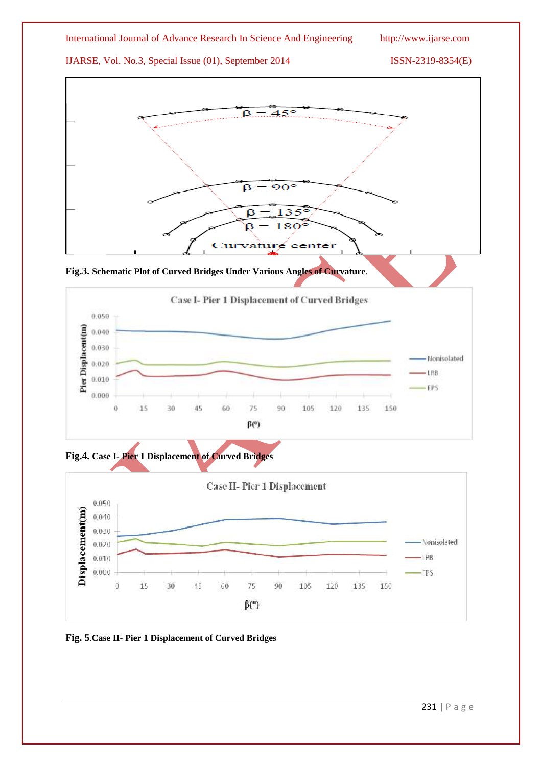









**Fig. 5**.**Case II- Pier 1 Displacement of Curved Bridges**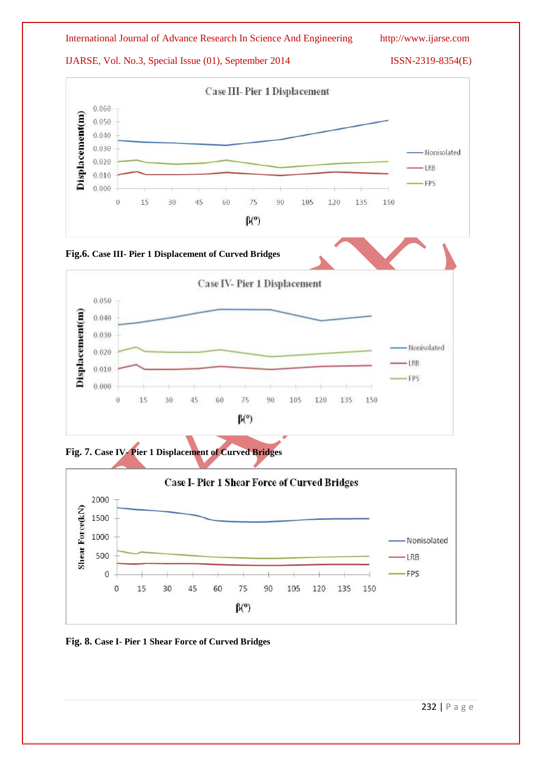







**Fig. 8. Case I- Pier 1 Shear Force of Curved Bridges**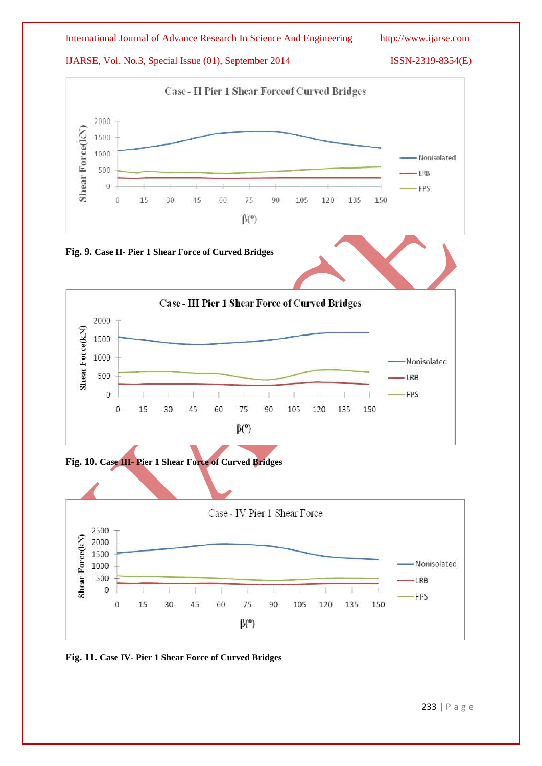

**Fig. 11. Case IV- Pier 1 Shear Force of Curved Bridges**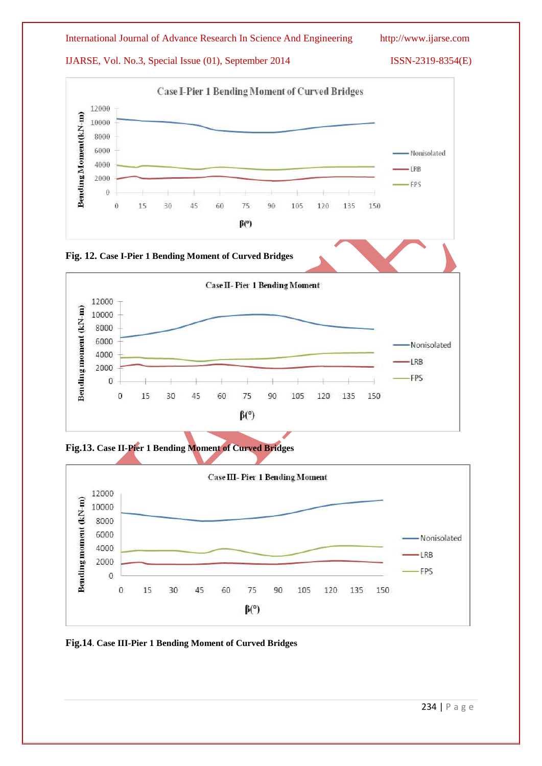









**Fig.14**. **Case III-Pier 1 Bending Moment of Curved Bridges**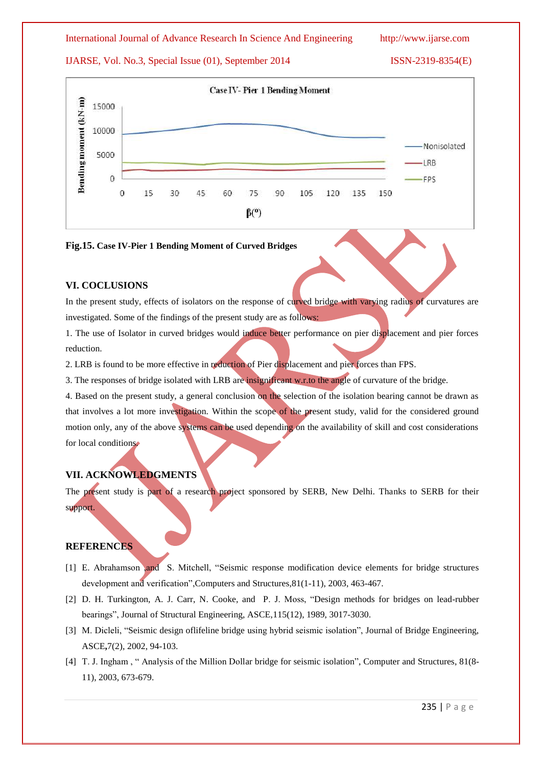#### International Journal of Advance Research In Science And Engineering http://www.ijarse.com

# IJARSE, Vol. No.3, Special Issue (01), September 2014 ISSN-2319-8354(E)



#### **Fig.15. Case IV-Pier 1 Bending Moment of Curved Bridges**

## **VI. COCLUSIONS**

In the present study, effects of isolators on the response of curved bridge with varying radius of curvatures are investigated. Some of the findings of the present study are as follows:

1. The use of Isolator in curved bridges would induce better performance on pier displacement and pier forces reduction.

2. LRB is found to be more effective in reduction of Pier displacement and pier forces than FPS.

3. The responses of bridge isolated with LRB are insignificant w.r.to the angle of curvature of the bridge.

4. Based on the present study, a general conclusion on the selection of the isolation bearing cannot be drawn as that involves a lot more investigation. Within the scope of the present study, valid for the considered ground motion only, any of the above systems can be used depending on the availability of skill and cost considerations for local conditions.

# **VII. ACKNOWLEDGMENTS**

The present study is part of a research project sponsored by SERB, New Delhi. Thanks to SERB for their support.

# **REFERENCES**

- [1] E. Abrahamson ,and S. Mitchell, "Seismic response modification device elements for bridge structures development and verification",Computers and Structures,81(1-11), 2003, 463-467.
- [2] D. H. Turkington, A. J. Carr, N. Cooke, and P. J. Moss, "Design methods for bridges on lead-rubber bearings", Journal of Structural Engineering, ASCE,115(12), 1989, 3017-3030.
- [3] M. Dicleli, "Seismic design oflifeline bridge using hybrid seismic isolation", Journal of Bridge Engineering, ASCE**,**7(2), 2002, 94-103.
- [4] T. J. Ingham, "Analysis of the Million Dollar bridge for seismic isolation", Computer and Structures, 81(8-11), 2003, 673-679.